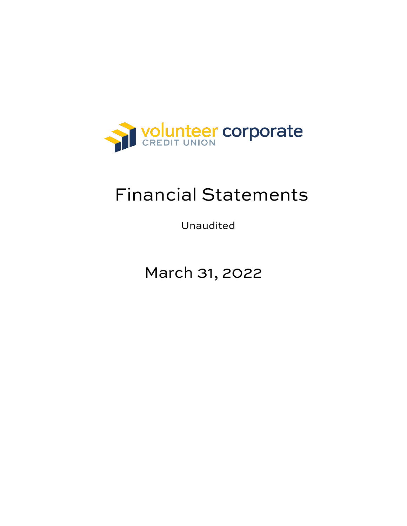

## Financial Statements

Unaudited

March 31, 2022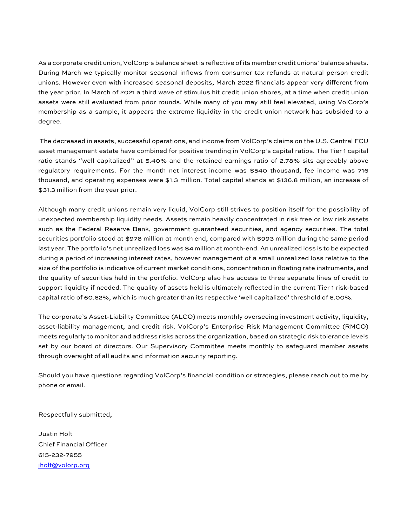As a corporate credit union, VolCorp's balance sheet is reflective of its member credit unions' balance sheets. During March we typically monitor seasonal inflows from consumer tax refunds at natural person credit unions. However even with increased seasonal deposits, March 2022 financials appear very different from the year prior. In March of 2021 a third wave of stimulus hit credit union shores, at a time when credit union assets were still evaluated from prior rounds. While many of you may still feel elevated, using VolCorp's membership as a sample, it appears the extreme liquidity in the credit union network has subsided to a degree.

The decreased in assets, successful operations, and income from VolCorp's claims on the U.S. Central FCU asset management estate have combined for positive trending in VolCorp's capital ratios. The Tier 1 capital ratio stands "well capitalized" at 5.40% and the retained earnings ratio of 2.78% sits agreeably above regulatory requirements. For the month net interest income was \$540 thousand, fee income was 716 thousand, and operating expenses were \$1.3 million. Total capital stands at \$136.8 million, an increase of \$31.3 million from the year prior.

Although many credit unions remain very liquid, VolCorp still strives to position itself for the possibility of unexpected membership liquidity needs. Assets remain heavily concentrated in risk free or low risk assets such as the Federal Reserve Bank, government guaranteed securities, and agency securities. The total securities portfolio stood at \$978 million at month end, compared with \$993 million during the same period last year. The portfolio's net unrealized loss was \$4 million at month-end. An unrealized loss is to be expected during a period of increasing interest rates, however management of a small unrealized loss relative to the size of the portfolio is indicative of current market conditions, concentration in floating rate instruments, and the quality of securities held in the portfolio. VolCorp also has access to three separate lines of credit to support liquidity if needed. The quality of assets held is ultimately reflected in the current Tier 1 risk-based capital ratio of 60.62%, which is much greater than its respective 'well capitalized' threshold of 6.00%.

The corporate's Asset-Liability Committee (ALCO) meets monthly overseeing investment activity, liquidity, asset-liability management, and credit risk. VolCorp's Enterprise Risk Management Committee (RMCO) meets regularly to monitor and address risks across the organization, based on strategic risk tolerance levels set by our board of directors. Our Supervisory Committee meets monthly to safeguard member assets through oversight of all audits and information security reporting.

Should you have questions regarding VolCorp's financial condition or strategies, please reach out to me by phone or email.

Respectfully submitted,

Justin Holt Chief Financial Officer 615-232-7955 [jholt@volorp.org](mailto:jholt@volorp.org)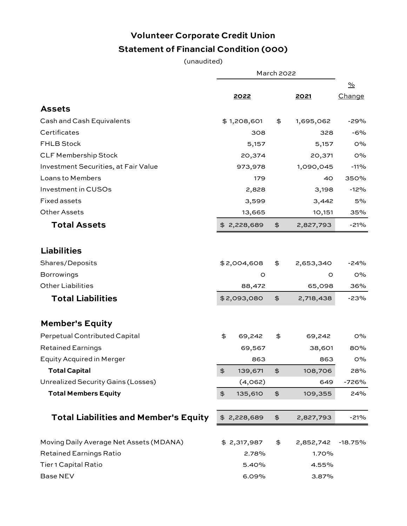## **Volunteer Corporate Credit Union Statement of Financial Condition (000)**

(unaudited)

|                                              | <b>March 2022</b> |             |               |              |               |
|----------------------------------------------|-------------------|-------------|---------------|--------------|---------------|
|                                              |                   |             |               |              | $\frac{9}{6}$ |
|                                              |                   | 2022        |               | <u> 2021</u> | Change        |
| <b>Assets</b>                                |                   |             |               |              |               |
| Cash and Cash Equivalents                    |                   | \$1,208,601 | \$            | 1,695,062    | -29%          |
| Certificates                                 |                   | 308         |               | 328          | $-6%$         |
| <b>FHLB Stock</b>                            |                   | 5,157       |               | 5,157        | O%            |
| <b>CLF Membership Stock</b>                  |                   | 20,374      |               | 20,371       | O%            |
| Investment Securities, at Fair Value         |                   | 973,978     |               | 1,090,045    | $-11%$        |
| Loans to Members                             |                   | 179         |               | 40           | 350%          |
| Investment in CUSOs                          |                   | 2,828       |               | 3,198        | $-12%$        |
| <b>Fixed assets</b>                          |                   | 3,599       |               | 3,442        | 5%            |
| <b>Other Assets</b>                          |                   | 13,665      |               | 10,151       | 35%           |
| <b>Total Assets</b>                          |                   | \$2,228,689 | $\frac{4}{5}$ | 2,827,793    | $-21%$        |
| <b>Liabilities</b>                           |                   |             |               |              |               |
|                                              |                   |             |               |              |               |
| Shares/Deposits                              |                   | \$2,004,608 | \$            | 2,653,340    | -24%          |
| <b>Borrowings</b>                            |                   | O           |               | O            | $O\%$         |
| <b>Other Liabilities</b>                     |                   | 88,472      |               | 65,098       | 36%           |
| <b>Total Liabilities</b>                     |                   | \$2,093,080 | $\frac{4}{5}$ | 2,718,438    | $-23%$        |
| <b>Member's Equity</b>                       |                   |             |               |              |               |
| Perpetual Contributed Capital                | \$                | 69,242      | \$            | 69,242       | $O\%$         |
| <b>Retained Earnings</b>                     |                   | 69,567      |               | 38,601       | 80%           |
| <b>Equity Acquired in Merger</b>             |                   | 863         |               | 863          | $O\%$         |
| <b>Total Capital</b>                         | \$                | 139,671     | $\frac{4}{5}$ | 108,706      | 28%           |
| <b>Unrealized Security Gains (Losses)</b>    |                   | (4,062)     |               | 649          | $-726%$       |
| <b>Total Members Equity</b>                  | $\ddot{\Phi}$     | 135,610     | $\frac{4}{5}$ | 109,355      | 24%           |
| <b>Total Liabilities and Member's Equity</b> |                   | \$2,228,689 | $\ddot{\phi}$ | 2,827,793    | $-21%$        |
|                                              |                   |             |               |              |               |
| Moving Daily Average Net Assets (MDANA)      |                   | \$2,317,987 | \$            | 2,852,742    | $-18.75%$     |
| <b>Retained Earnings Ratio</b>               |                   | 2.78%       | 1.70%         |              |               |
| <b>Tier 1 Capital Ratio</b>                  |                   | 5.40%       |               | 4.55%        |               |
| <b>Base NEV</b>                              |                   | 6.09%       |               | 3.87%        |               |